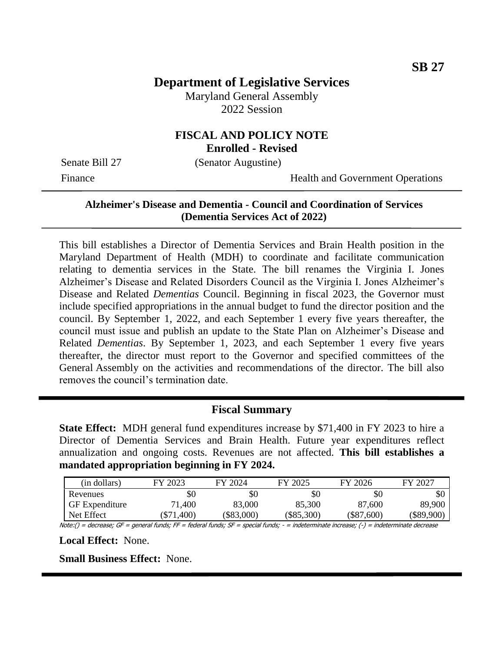# **Department of Legislative Services**

Maryland General Assembly 2022 Session

### **FISCAL AND POLICY NOTE Enrolled - Revised**

Senate Bill 27 (Senator Augustine)

Finance Health and Government Operations

# **Alzheimer's Disease and Dementia - Council and Coordination of Services (Dementia Services Act of 2022)**

This bill establishes a Director of Dementia Services and Brain Health position in the Maryland Department of Health (MDH) to coordinate and facilitate communication relating to dementia services in the State. The bill renames the Virginia I. Jones Alzheimer's Disease and Related Disorders Council as the Virginia I. Jones Alzheimer's Disease and Related *Dementias* Council. Beginning in fiscal 2023, the Governor must include specified appropriations in the annual budget to fund the director position and the council. By September 1, 2022, and each September 1 every five years thereafter, the council must issue and publish an update to the State Plan on Alzheimer's Disease and Related *Dementias*. By September 1, 2023, and each September 1 every five years thereafter, the director must report to the Governor and specified committees of the General Assembly on the activities and recommendations of the director. The bill also removes the council's termination date.

#### **Fiscal Summary**

**State Effect:** MDH general fund expenditures increase by \$71,400 in FY 2023 to hire a Director of Dementia Services and Brain Health. Future year expenditures reflect annualization and ongoing costs. Revenues are not affected. **This bill establishes a mandated appropriation beginning in FY 2024.**

| (in dollars)          | FY 2023      | FY 2024      | FY 2025      | FY 2026      | FY 2027    |
|-----------------------|--------------|--------------|--------------|--------------|------------|
| Revenues              | \$0          | \$0          | \$0          | \$0          | \$0        |
| <b>GF</b> Expenditure | 71,400       | 83,000       | 85,300       | 87,600       | 89,900     |
| Net Effect            | $(\$71,400)$ | $(\$83,000)$ | $(\$85,300)$ | $(\$87,600)$ | (\$89,900) |

Note:() = decrease; GF = general funds; FF = federal funds; SF = special funds; - = indeterminate increase; (-) = indeterminate decrease

**Local Effect:** None.

**Small Business Effect:** None.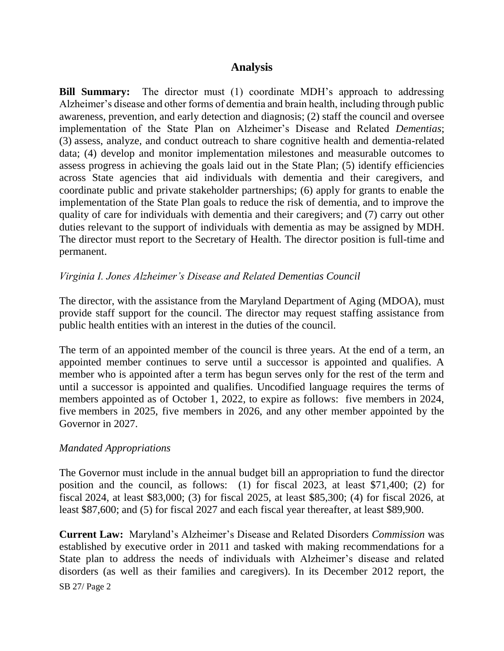# **Analysis**

**Bill Summary:** The director must (1) coordinate MDH's approach to addressing Alzheimer's disease and other forms of dementia and brain health, including through public awareness, prevention, and early detection and diagnosis; (2) staff the council and oversee implementation of the State Plan on Alzheimer's Disease and Related *Dementias*; (3) assess, analyze, and conduct outreach to share cognitive health and dementia-related data; (4) develop and monitor implementation milestones and measurable outcomes to assess progress in achieving the goals laid out in the State Plan; (5) identify efficiencies across State agencies that aid individuals with dementia and their caregivers, and coordinate public and private stakeholder partnerships; (6) apply for grants to enable the implementation of the State Plan goals to reduce the risk of dementia, and to improve the quality of care for individuals with dementia and their caregivers; and (7) carry out other duties relevant to the support of individuals with dementia as may be assigned by MDH. The director must report to the Secretary of Health. The director position is full-time and permanent.

# *Virginia I. Jones Alzheimer's Disease and Related Dementias Council*

The director, with the assistance from the Maryland Department of Aging (MDOA), must provide staff support for the council. The director may request staffing assistance from public health entities with an interest in the duties of the council.

The term of an appointed member of the council is three years. At the end of a term, an appointed member continues to serve until a successor is appointed and qualifies. A member who is appointed after a term has begun serves only for the rest of the term and until a successor is appointed and qualifies. Uncodified language requires the terms of members appointed as of October 1, 2022, to expire as follows: five members in 2024, five members in 2025, five members in 2026, and any other member appointed by the Governor in 2027.

# *Mandated Appropriations*

The Governor must include in the annual budget bill an appropriation to fund the director position and the council, as follows: (1) for fiscal 2023, at least \$71,400; (2) for fiscal 2024, at least \$83,000; (3) for fiscal 2025, at least \$85,300; (4) for fiscal 2026, at least \$87,600; and (5) for fiscal 2027 and each fiscal year thereafter, at least \$89,900.

SB 27/ Page 2 **Current Law:** Maryland's Alzheimer's Disease and Related Disorders *Commission* was established by executive order in 2011 and tasked with making recommendations for a State plan to address the needs of individuals with Alzheimer's disease and related disorders (as well as their families and caregivers). In its December 2012 report, the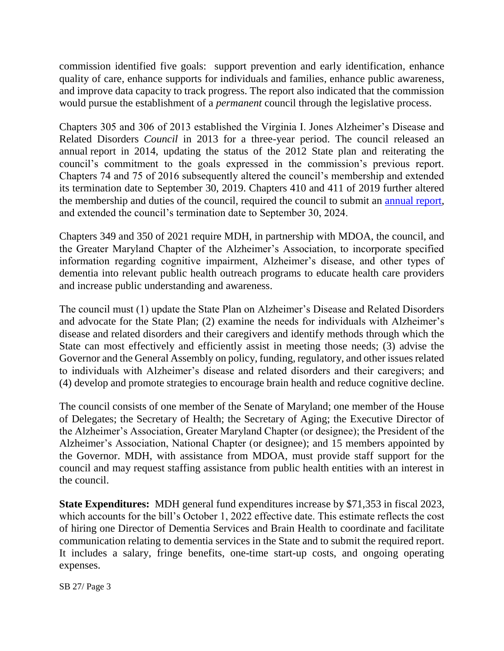commission identified five goals: support prevention and early identification, enhance quality of care, enhance supports for individuals and families, enhance public awareness, and improve data capacity to track progress. The report also indicated that the commission would pursue the establishment of a *permanent* council through the legislative process.

Chapters 305 and 306 of 2013 established the Virginia I. Jones Alzheimer's Disease and Related Disorders *Council* in 2013 for a three-year period. The council released an annual report in 2014, updating the status of the 2012 State plan and reiterating the council's commitment to the goals expressed in the commission's previous report. Chapters 74 and 75 of 2016 subsequently altered the council's membership and extended its termination date to September 30, 2019. Chapters 410 and 411 of 2019 further altered the membership and duties of the council, required the council to submit an [annual report,](http://dlslibrary.state.md.us/publications/Exec/MDH/HG13-3207_2021.pdf) and extended the council's termination date to September 30, 2024.

Chapters 349 and 350 of 2021 require MDH, in partnership with MDOA, the council, and the Greater Maryland Chapter of the Alzheimer's Association, to incorporate specified information regarding cognitive impairment, Alzheimer's disease, and other types of dementia into relevant public health outreach programs to educate health care providers and increase public understanding and awareness.

The council must (1) update the State Plan on Alzheimer's Disease and Related Disorders and advocate for the State Plan; (2) examine the needs for individuals with Alzheimer's disease and related disorders and their caregivers and identify methods through which the State can most effectively and efficiently assist in meeting those needs; (3) advise the Governor and the General Assembly on policy, funding, regulatory, and other issues related to individuals with Alzheimer's disease and related disorders and their caregivers; and (4) develop and promote strategies to encourage brain health and reduce cognitive decline.

The council consists of one member of the Senate of Maryland; one member of the House of Delegates; the Secretary of Health; the Secretary of Aging; the Executive Director of the Alzheimer's Association, Greater Maryland Chapter (or designee); the President of the Alzheimer's Association, National Chapter (or designee); and 15 members appointed by the Governor. MDH, with assistance from MDOA, must provide staff support for the council and may request staffing assistance from public health entities with an interest in the council.

**State Expenditures:** MDH general fund expenditures increase by \$71,353 in fiscal 2023, which accounts for the bill's October 1, 2022 effective date. This estimate reflects the cost of hiring one Director of Dementia Services and Brain Health to coordinate and facilitate communication relating to dementia services in the State and to submit the required report. It includes a salary, fringe benefits, one-time start-up costs, and ongoing operating expenses.